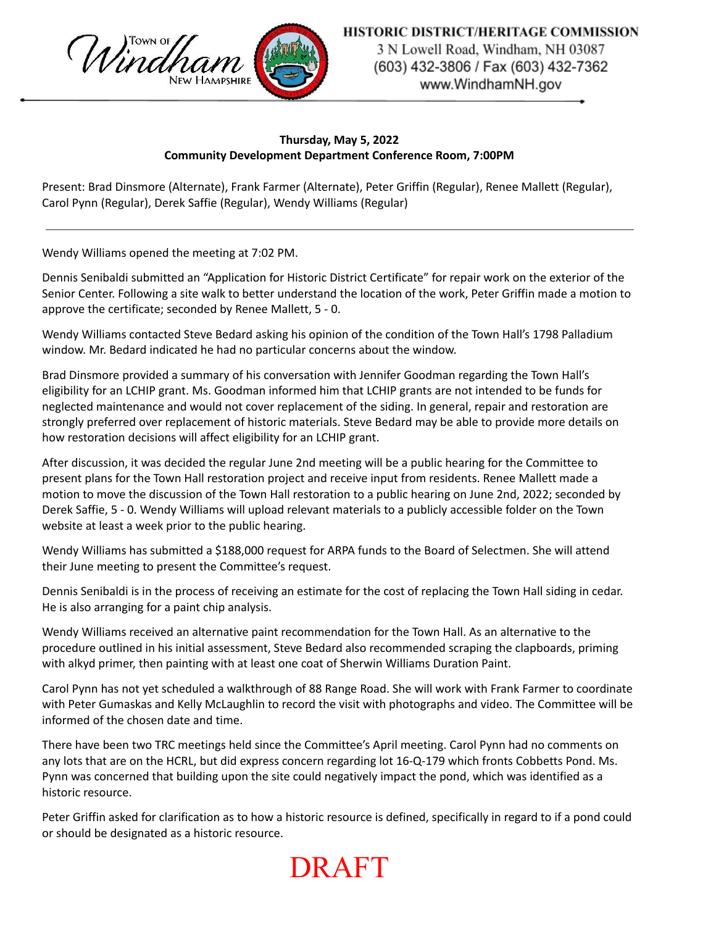

3 N Lowell Road, Windham, NH 03087 (603) 432-3806 / Fax (603) 432-7362 www.WindhamNH.gov

## **Thursday, May 5, 2022 Community Development Department Conference Room, 7:00PM**

Present: Brad Dinsmore (Alternate), Frank Farmer (Alternate), Peter Griffin (Regular), Renee Mallett (Regular), Carol Pynn (Regular), Derek Saffie (Regular), Wendy Williams (Regular)

Wendy Williams opened the meeting at 7:02 PM.

Dennis Senibaldi submitted an "Application for Historic District Certificate" for repair work on the exterior of the Senior Center. Following a site walk to better understand the location of the work, Peter Griffin made a motion to approve the certificate; seconded by Renee Mallett, 5 - 0.

Wendy Williams contacted Steve Bedard asking his opinion of the condition of the Town Hall's 1798 Palladium window. Mr. Bedard indicated he had no particular concerns about the window.

Brad Dinsmore provided a summary of his conversation with Jennifer Goodman regarding the Town Hall's eligibility for an LCHIP grant. Ms. Goodman informed him that LCHIP grants are not intended to be funds for neglected maintenance and would not cover replacement of the siding. In general, repair and restoration are strongly preferred over replacement of historic materials. Steve Bedard may be able to provide more details on how restoration decisions will affect eligibility for an LCHIP grant.

After discussion, it was decided the regular June 2nd meeting will be a public hearing for the Committee to present plans for the Town Hall restoration project and receive input from residents. Renee Mallett made a motion to move the discussion of the Town Hall restoration to a public hearing on June 2nd, 2022; seconded by Derek Saffie, 5 - 0. Wendy Williams will upload relevant materials to a publicly accessible folder on the Town website at least a week prior to the public hearing.

Wendy Williams has submitted a \$188,000 request for ARPA funds to the Board of Selectmen. She will attend their June meeting to present the Committee's request.

Dennis Senibaldi is in the process of receiving an estimate for the cost of replacing the Town Hall siding in cedar. He is also arranging for a paint chip analysis.

Wendy Williams received an alternative paint recommendation for the Town Hall. As an alternative to the procedure outlined in his initial assessment, Steve Bedard also recommended scraping the clapboards, priming with alkyd primer, then painting with at least one coat of Sherwin Williams Duration Paint.

Carol Pynn has not yet scheduled a walkthrough of 88 Range Road. She will work with Frank Farmer to coordinate with Peter Gumaskas and Kelly McLaughlin to record the visit with photographs and video. The Committee will be informed of the chosen date and time.

There have been two TRC meetings held since the Committee's April meeting. Carol Pynn had no comments on any lots that are on the HCRL, but did express concern regarding lot 16-Q-179 which fronts Cobbetts Pond. Ms. Pynn was concerned that building upon the site could negatively impact the pond, which was identified as a historic resource.

Peter Griffin asked for clarification as to how a historic resource is defined, specifically in regard to if a pond could or should be designated as a historic resource.

## DRAFT